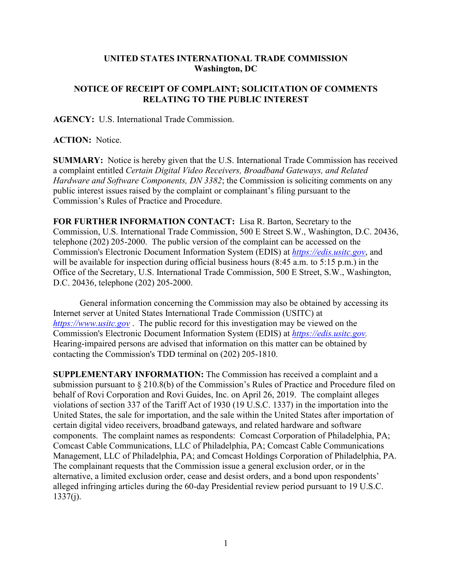## **UNITED STATES INTERNATIONAL TRADE COMMISSION Washington, DC**

## **NOTICE OF RECEIPT OF COMPLAINT; SOLICITATION OF COMMENTS RELATING TO THE PUBLIC INTEREST**

**AGENCY:** U.S. International Trade Commission.

## **ACTION:** Notice.

**SUMMARY:** Notice is hereby given that the U.S. International Trade Commission has received a complaint entitled *Certain Digital Video Receivers, Broadband Gateways, and Related Hardware and Software Components, DN 3382*; the Commission is soliciting comments on any public interest issues raised by the complaint or complainant's filing pursuant to the Commission's Rules of Practice and Procedure.

**FOR FURTHER INFORMATION CONTACT:** Lisa R. Barton, Secretary to the Commission, U.S. International Trade Commission, 500 E Street S.W., Washington, D.C. 20436, telephone (202) 205-2000. The public version of the complaint can be accessed on the Commission's Electronic Document Information System (EDIS) at *[https://edis.usitc.gov](https://edis.usitc.gov/)*, and will be available for inspection during official business hours (8:45 a.m. to 5:15 p.m.) in the Office of the Secretary, U.S. International Trade Commission, 500 E Street, S.W., Washington, D.C. 20436, telephone (202) 205-2000.

General information concerning the Commission may also be obtained by accessing its Internet server at United States International Trade Commission (USITC) at *[https://www.usitc.gov](https://www.usitc.gov/)* . The public record for this investigation may be viewed on the Commission's Electronic Document Information System (EDIS) at *[https://edis.usitc.gov.](https://edis.usitc.gov/)* Hearing-impaired persons are advised that information on this matter can be obtained by contacting the Commission's TDD terminal on (202) 205-1810.

**SUPPLEMENTARY INFORMATION:** The Commission has received a complaint and a submission pursuant to § 210.8(b) of the Commission's Rules of Practice and Procedure filed on behalf of Rovi Corporation and Rovi Guides, Inc. on April 26, 2019. The complaint alleges violations of section 337 of the Tariff Act of 1930 (19 U.S.C. 1337) in the importation into the United States, the sale for importation, and the sale within the United States after importation of certain digital video receivers, broadband gateways, and related hardware and software components. The complaint names as respondents: Comcast Corporation of Philadelphia, PA; Comcast Cable Communications, LLC of Philadelphia, PA; Comcast Cable Communications Management, LLC of Philadelphia, PA; and Comcast Holdings Corporation of Philadelphia, PA. The complainant requests that the Commission issue a general exclusion order, or in the alternative, a limited exclusion order, cease and desist orders, and a bond upon respondents' alleged infringing articles during the 60-day Presidential review period pursuant to 19 U.S.C.  $1337(i)$ .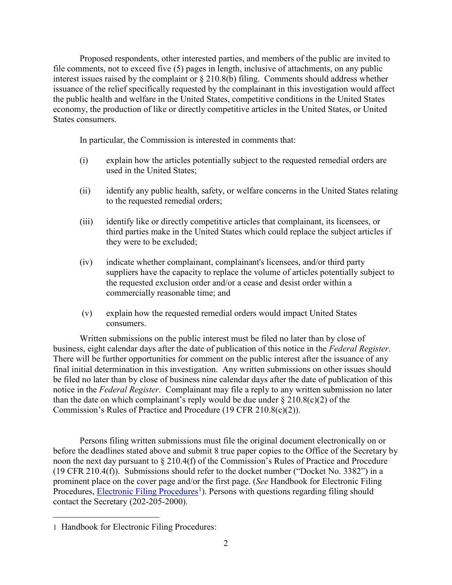Proposed respondents, other interested parties, and members of the public are invited to file comments, not to exceed five (5) pages in length, inclusive of attachments, on any public interest issues raised by the complaint or § 210.8(b) filing. Comments should address whether issuance of the relief specifically requested by the complainant in this investigation would affect the public health and welfare in the United States, competitive conditions in the United States economy, the production of like or directly competitive articles in the United States, or United States consumers.

In particular, the Commission is interested in comments that:

- (i) explain how the articles potentially subject to the requested remedial orders are used in the United States;
- (ii) identify any public health, safety, or welfare concerns in the United States relating to the requested remedial orders;
- (iii) identify like or directly competitive articles that complainant, its licensees, or third parties make in the United States which could replace the subject articles if they were to be excluded;
- (iv) indicate whether complainant, complainant's licensees, and/or third party suppliers have the capacity to replace the volume of articles potentially subject to the requested exclusion order and/or a cease and desist order within a commercially reasonable time; and
- (v) explain how the requested remedial orders would impact United States consumers.

Written submissions on the public interest must be filed no later than by close of business, eight calendar days after the date of publication of this notice in the *Federal Register*. There will be further opportunities for comment on the public interest after the issuance of any final initial determination in this investigation. Any written submissions on other issues should be filed no later than by close of business nine calendar days after the date of publication of this notice in the *Federal Register*. Complainant may file a reply to any written submission no later than the date on which complainant's reply would be due under  $\S 210.8(c)(2)$  of the Commission's Rules of Practice and Procedure (19 CFR 210.8(c)(2)).

Persons filing written submissions must file the original document electronically on or before the deadlines stated above and submit 8 true paper copies to the Office of the Secretary by noon the next day pursuant to § 210.4(f) of the Commission's Rules of Practice and Procedure (19 CFR 210.4(f)). Submissions should refer to the docket number ("Docket No. 3382") in a prominent place on the cover page and/or the first page. (*See* Handbook for Electronic Filing Procedures, **Electronic Filing Procedures**<sup>[1](#page-1-0)</sup>). Persons with questions regarding filing should contact the Secretary (202-205-2000).

<span id="page-1-0"></span> $\overline{a}$ 1 Handbook for Electronic Filing Procedures: